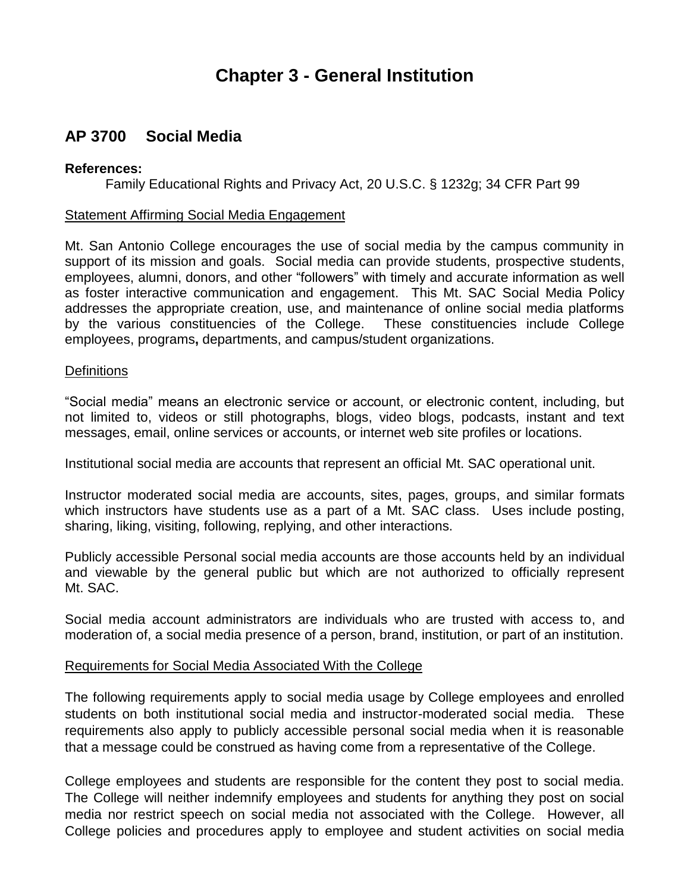# **Chapter 3 - General Institution**

# **AP 3700 Social Media**

#### **References:**

Family Educational Rights and Privacy Act, 20 U.S.C. § 1232g; 34 CFR Part 99

### Statement Affirming Social Media Engagement

 Mt. San Antonio College encourages the use of social media by the campus community in support of its mission and goals. Social media can provide students, prospective students, employees, alumni, donors, and other "followers" with timely and accurate information as well as foster interactive communication and engagement. This Mt. SAC Social Media Policy addresses the appropriate creation, use, and maintenance of online social media platforms by the various constituencies of the College. These constituencies include College employees, programs**,** departments, and campus/student organizations.

### **Definitions**

 "Social media" means an electronic service or account, or electronic content, including, but not limited to, videos or still photographs, blogs, video blogs, podcasts, instant and text messages, email, online services or accounts, or internet web site profiles or locations.

Institutional social media are accounts that represent an official Mt. SAC operational unit.

 Instructor moderated social media are accounts, sites, pages, groups, and similar formats which instructors have students use as a part of a Mt. SAC class. Uses include posting, sharing, liking, visiting, following, replying, and other interactions.

 Publicly accessible Personal social media accounts are those accounts held by an individual and viewable by the general public but which are not authorized to officially represent Mt. SAC.

 Social media account administrators are individuals who are trusted with access to, and moderation of, a social media presence of a person, brand, institution, or part of an institution.

#### Requirements for Social Media Associated With the College

 The following requirements apply to social media usage by College employees and enrolled students on both institutional social media and instructor-moderated social media. These requirements also apply to publicly accessible personal social media when it is reasonable that a message could be construed as having come from a representative of the College.

 College employees and students are responsible for the content they post to social media. The College will neither indemnify employees and students for anything they post on social media nor restrict speech on social media not associated with the College. However, all College policies and procedures apply to employee and student activities on social media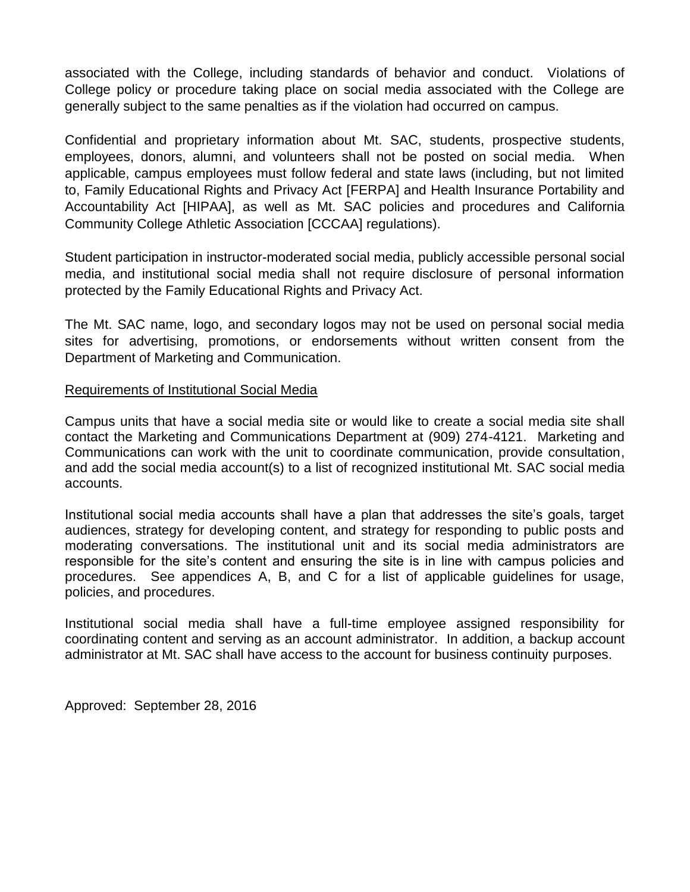associated with the College, including standards of behavior and conduct. Violations of College policy or procedure taking place on social media associated with the College are generally subject to the same penalties as if the violation had occurred on campus.

 Confidential and proprietary information about Mt. SAC, students, prospective students, employees, donors, alumni, and volunteers shall not be posted on social media. When applicable, campus employees must follow federal and state laws (including, but not limited to, Family Educational Rights and Privacy Act [FERPA] and Health Insurance Portability and Accountability Act [HIPAA], as well as Mt. SAC policies and procedures and California Community College Athletic Association [CCCAA] regulations).

 Student participation in instructor-moderated social media, publicly accessible personal social media, and institutional social media shall not require disclosure of personal information protected by the Family Educational Rights and Privacy Act.

 The Mt. SAC name, logo, and secondary logos may not be used on personal social media sites for advertising, promotions, or endorsements without written consent from the Department of Marketing and Communication.

## Requirements of Institutional Social Media

 Campus units that have a social media site or would like to create a social media site shall contact the Marketing and Communications Department at (909) 274-4121. Marketing and Communications can work with the unit to coordinate communication, provide consultation, and add the social media account(s) to a list of recognized institutional Mt. SAC social media accounts.

 Institutional social media accounts shall have a plan that addresses the site's goals, target audiences, strategy for developing content, and strategy for responding to public posts and moderating conversations. The institutional unit and its social media administrators are responsible for the site's content and ensuring the site is in line with campus policies and procedures. See appendices A, B, and C for a list of applicable guidelines for usage, policies, and procedures.

 Institutional social media shall have a full-time employee assigned responsibility for coordinating content and serving as an account administrator. In addition, a backup account administrator at Mt. SAC shall have access to the account for business continuity purposes.

Approved: September 28, 2016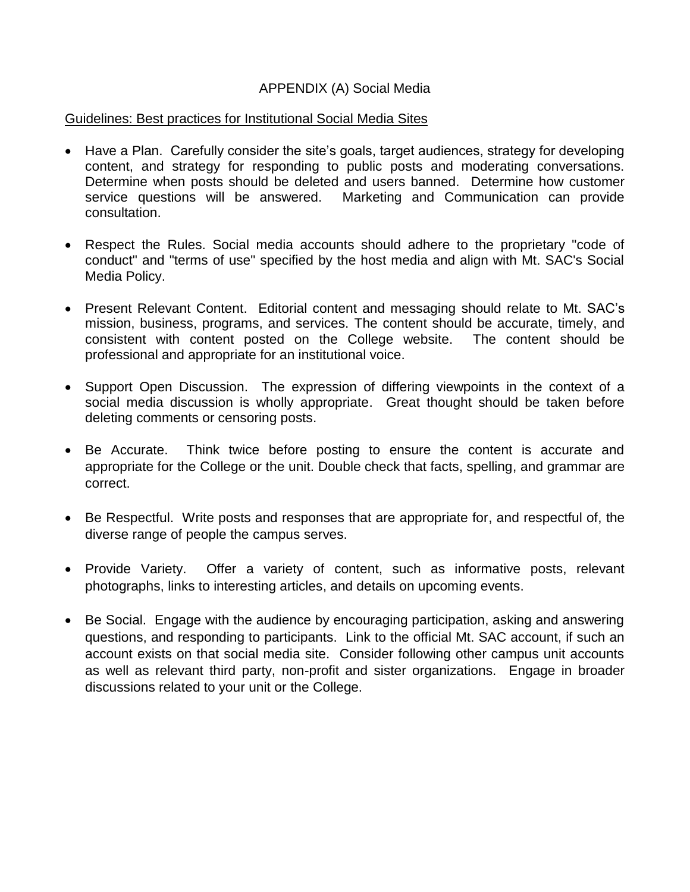## APPENDIX (A) Social Media

## Guidelines: Best practices for Institutional Social Media Sites

- Have a Plan. Carefully consider the site's goals, target audiences, strategy for developing content, and strategy for responding to public posts and moderating conversations. Determine when posts should be deleted and users banned. Determine how customer service questions will be answered. Marketing and Communication can provide consultation.
- Respect the Rules. Social media accounts should adhere to the proprietary "code of conduct" and "terms of use" specified by the host media and align with Mt. SAC's Social Media Policy.
- Present Relevant Content. Editorial content and messaging should relate to Mt. SAC's mission, business, programs, and services. The content should be accurate, timely, and consistent with content posted on the College website. The content should be professional and appropriate for an institutional voice.
- Support Open Discussion. The expression of differing viewpoints in the context of a social media discussion is wholly appropriate. Great thought should be taken before deleting comments or censoring posts.
- Be Accurate. appropriate for the College or the unit. Double check that facts, spelling, and grammar are Think twice before posting to ensure the content is accurate and correct.
- Be Respectful. Write posts and responses that are appropriate for, and respectful of, the diverse range of people the campus serves.
- Provide Variety. Offer a variety of content, such as informative posts, relevant photographs, links to interesting articles, and details on upcoming events.
- Be Social. Engage with the audience by encouraging participation, asking and answering questions, and responding to participants. Link to the official Mt. SAC account, if such an account exists on that social media site. Consider following other campus unit accounts as well as relevant third party, non-profit and sister organizations. Engage in broader discussions related to your unit or the College.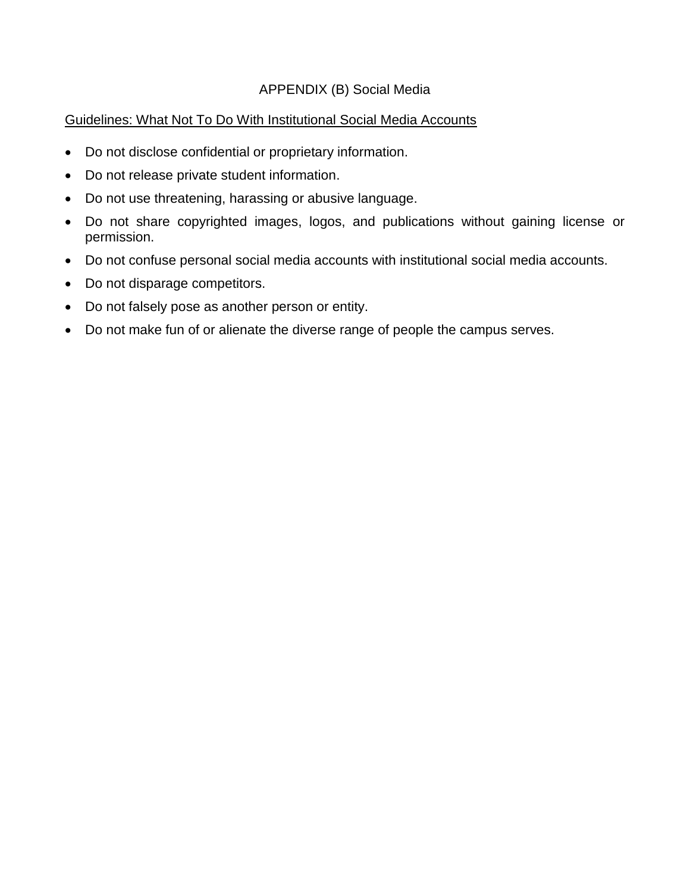# APPENDIX (B) Social Media

# Guidelines: What Not To Do With Institutional Social Media Accounts

- Do not disclose confidential or proprietary information.
- Do not release private student information.
- Do not use threatening, harassing or abusive language.
- Do not share copyrighted images, logos, and publications without gaining license or permission.
- Do not confuse personal social media accounts with institutional social media accounts.
- Do not disparage competitors.
- Do not falsely pose as another person or entity.
- Do not make fun of or alienate the diverse range of people the campus serves.